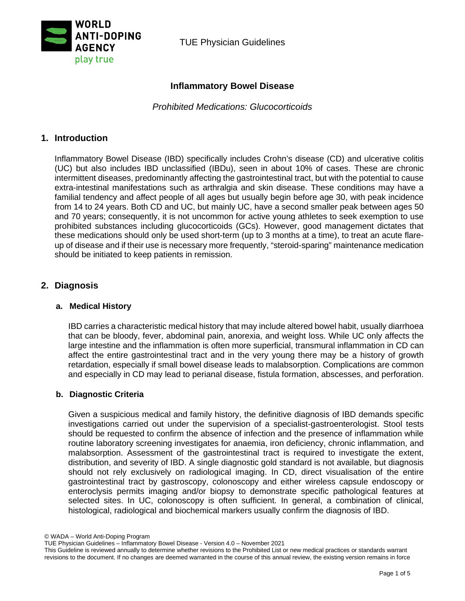

TUE Physician Guidelines

# **Inflammatory Bowel Disease**

*Prohibited Medications: Glucocorticoids*

# **1. Introduction**

Inflammatory Bowel Disease (IBD) specifically includes Crohn's disease (CD) and ulcerative colitis (UC) but also includes IBD unclassified (IBDu), seen in about 10% of cases. These are chronic intermittent diseases, predominantly affecting the gastrointestinal tract, but with the potential to cause extra-intestinal manifestations such as arthralgia and skin disease. These conditions may have a familial tendency and affect people of all ages but usually begin before age 30, with peak incidence from 14 to 24 years. Both CD and UC, but mainly UC, have a second smaller peak between ages 50 and 70 years; consequently, it is not uncommon for active young athletes to seek exemption to use prohibited substances including glucocorticoids (GCs). However, good management dictates that these medications should only be used short-term (up to 3 months at a time), to treat an acute flareup of disease and if their use is necessary more frequently, "steroid-sparing" maintenance medication should be initiated to keep patients in remission.

# **2. Diagnosis**

### **a. Medical History**

IBD carries a characteristic medical history that may include altered bowel habit, usually diarrhoea that can be bloody, fever, abdominal pain, anorexia, and weight loss. While UC only affects the large intestine and the inflammation is often more superficial, transmural inflammation in CD can affect the entire gastrointestinal tract and in the very young there may be a history of growth retardation, especially if small bowel disease leads to malabsorption. Complications are common and especially in CD may lead to perianal disease, fistula formation, abscesses, and perforation.

### **b. Diagnostic Criteria**

Given a suspicious medical and family history, the definitive diagnosis of IBD demands specific investigations carried out under the supervision of a specialist-gastroenterologist. Stool tests should be requested to confirm the absence of infection and the presence of inflammation while routine laboratory screening investigates for anaemia, iron deficiency, chronic inflammation, and malabsorption. Assessment of the gastrointestinal tract is required to investigate the extent, distribution, and severity of IBD. A single diagnostic gold standard is not available, but diagnosis should not rely exclusively on radiological imaging. In CD, direct visualisation of the entire gastrointestinal tract by gastroscopy, colonoscopy and either wireless capsule endoscopy or enteroclysis permits imaging and/or biopsy to demonstrate specific pathological features at selected sites. In UC, colonoscopy is often sufficient. In general, a combination of clinical, histological, radiological and biochemical markers usually confirm the diagnosis of IBD.

© WADA – World Anti-Doping Program

TUE Physician Guidelines – Inflammatory Bowel Disease - Version 4.0 – November 2021

This Guideline is reviewed annually to determine whether revisions to the Prohibited List or new medical practices or standards warrant revisions to the document. If no changes are deemed warranted in the course of this annual review, the existing version remains in force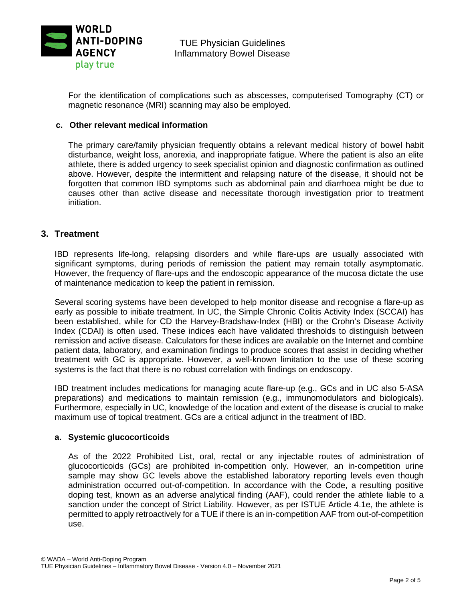

For the identification of complications such as abscesses, computerised Tomography (CT) or magnetic resonance (MRI) scanning may also be employed.

### **c. Other relevant medical information**

The primary care/family physician frequently obtains a relevant medical history of bowel habit disturbance, weight loss, anorexia, and inappropriate fatigue. Where the patient is also an elite athlete, there is added urgency to seek specialist opinion and diagnostic confirmation as outlined above. However, despite the intermittent and relapsing nature of the disease, it should not be forgotten that common IBD symptoms such as abdominal pain and diarrhoea might be due to causes other than active disease and necessitate thorough investigation prior to treatment initiation.

## **3. Treatment**

IBD represents life-long, relapsing disorders and while flare-ups are usually associated with significant symptoms, during periods of remission the patient may remain totally asymptomatic. However, the frequency of flare-ups and the endoscopic appearance of the mucosa dictate the use of maintenance medication to keep the patient in remission.

Several scoring systems have been developed to help monitor disease and recognise a flare-up as early as possible to initiate treatment. In UC, the Simple Chronic Colitis Activity Index (SCCAI) has been established, while for CD the Harvey-Bradshaw-Index (HBI) or the Crohn's Disease Activity Index (CDAI) is often used. These indices each have validated thresholds to distinguish between remission and active disease. Calculators for these indices are available on the Internet and combine patient data, laboratory, and examination findings to produce scores that assist in deciding whether treatment with GC is appropriate. However, a well-known limitation to the use of these scoring systems is the fact that there is no robust correlation with findings on endoscopy.

IBD treatment includes medications for managing acute flare-up (e.g., GCs and in UC also 5-ASA preparations) and medications to maintain remission (e.g., immunomodulators and biologicals). Furthermore, especially in UC, knowledge of the location and extent of the disease is crucial to make maximum use of topical treatment. GCs are a critical adjunct in the treatment of IBD.

### **a. Systemic glucocorticoids**

As of the 2022 Prohibited List, oral, rectal or any injectable routes of administration of glucocorticoids (GCs) are prohibited in-competition only. However, an in-competition urine sample may show GC levels above the established laboratory reporting levels even though administration occurred out-of-competition. In accordance with the Code, a resulting positive doping test, known as an adverse analytical finding (AAF), could render the athlete liable to a sanction under the concept of Strict Liability. However, as per ISTUE Article 4.1e, the athlete is permitted to apply retroactively for a TUE if there is an in-competition AAF from out-of-competition use.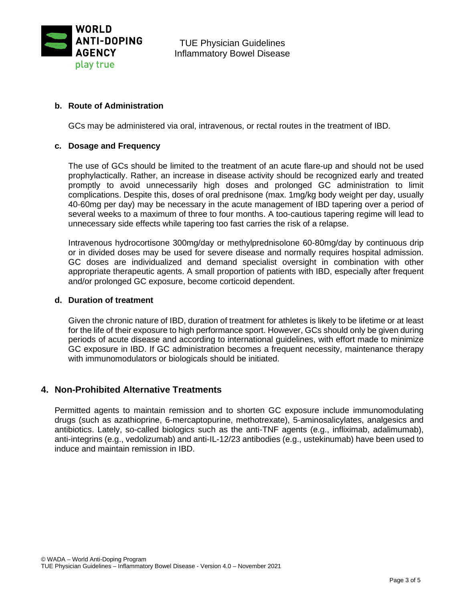

TUE Physician Guidelines Inflammatory Bowel Disease

### **b. Route of Administration**

GCs may be administered via oral, intravenous, or rectal routes in the treatment of IBD.

### **c. Dosage and Frequency**

The use of GCs should be limited to the treatment of an acute flare-up and should not be used prophylactically. Rather, an increase in disease activity should be recognized early and treated promptly to avoid unnecessarily high doses and prolonged GC administration to limit complications. Despite this, doses of oral prednisone (max. 1mg/kg body weight per day, usually 40-60mg per day) may be necessary in the acute management of IBD tapering over a period of several weeks to a maximum of three to four months. A too-cautious tapering regime will lead to unnecessary side effects while tapering too fast carries the risk of a relapse.

Intravenous hydrocortisone 300mg/day or methylprednisolone 60-80mg/day by continuous drip or in divided doses may be used for severe disease and normally requires hospital admission. GC doses are individualized and demand specialist oversight in combination with other appropriate therapeutic agents. A small proportion of patients with IBD, especially after frequent and/or prolonged GC exposure, become corticoid dependent.

#### **d. Duration of treatment**

Given the chronic nature of IBD, duration of treatment for athletes is likely to be lifetime or at least for the life of their exposure to high performance sport. However, GCs should only be given during periods of acute disease and according to international guidelines, with effort made to minimize GC exposure in IBD. If GC administration becomes a frequent necessity, maintenance therapy with immunomodulators or biologicals should be initiated.

### **4. Non-Prohibited Alternative Treatments**

Permitted agents to maintain remission and to shorten GC exposure include immunomodulating drugs (such as azathioprine, 6-mercaptopurine, methotrexate), 5-aminosalicylates, analgesics and antibiotics. Lately, so-called biologics such as the anti-TNF agents (e.g., infliximab, adalimumab), anti-integrins (e.g., vedolizumab) and anti-IL-12/23 antibodies (e.g., ustekinumab) have been used to induce and maintain remission in IBD.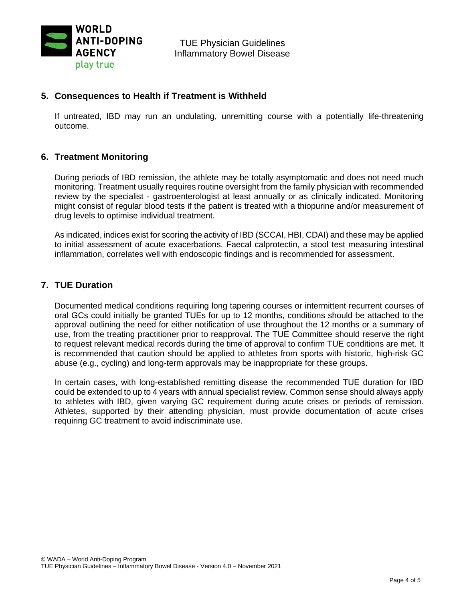

# **5. Consequences to Health if Treatment is Withheld**

If untreated, IBD may run an undulating, unremitting course with a potentially life-threatening outcome.

## **6. Treatment Monitoring**

During periods of IBD remission, the athlete may be totally asymptomatic and does not need much monitoring. Treatment usually requires routine oversight from the family physician with recommended review by the specialist - gastroenterologist at least annually or as clinically indicated. Monitoring might consist of regular blood tests if the patient is treated with a thiopurine and/or measurement of drug levels to optimise individual treatment.

As indicated, indices exist for scoring the activity of IBD (SCCAI, HBI, CDAI) and these may be applied to initial assessment of acute exacerbations. Faecal calprotectin, a stool test measuring intestinal inflammation, correlates well with endoscopic findings and is recommended for assessment.

## **7. TUE Duration**

Documented medical conditions requiring long tapering courses or intermittent recurrent courses of oral GCs could initially be granted TUEs for up to 12 months, conditions should be attached to the approval outlining the need for either notification of use throughout the 12 months or a summary of use, from the treating practitioner prior to reapproval. The TUE Committee should reserve the right to request relevant medical records during the time of approval to confirm TUE conditions are met. It is recommended that caution should be applied to athletes from sports with historic, high-risk GC abuse (e.g., cycling) and long-term approvals may be inappropriate for these groups.

In certain cases, with long-established remitting disease the recommended TUE duration for IBD could be extended to up to 4 years with annual specialist review. Common sense should always apply to athletes with IBD, given varying GC requirement during acute crises or periods of remission. Athletes, supported by their attending physician, must provide documentation of acute crises requiring GC treatment to avoid indiscriminate use.